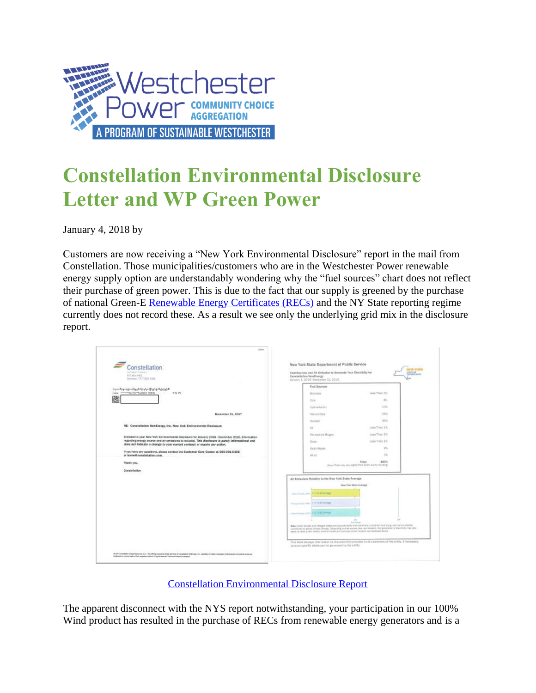

## **Constellation Environmental Disclosure Letter and WP Green Power**

January 4, 2018 by

Customers are now receiving a "New York Environmental Disclosure" report in the mail from Constellation. Those municipalities/customers who are in the Westchester Power renewable energy supply option are understandably wondering why the "fuel sources" chart does not reflect their purchase of green power. This is due to the fact that our supply is greened by the purchase of national Green-E [Renewable Energy Certificates \(RECs\)](https://www.westchesterpower.org/frequently-asked-questions/#qe-faq-1341) and the NY State reporting regime currently does not record these. As a result we see only the underlying grid mix in the disclosure report.

| <b>Innstellation</b><br>Air Callery Constant<br>FO. Box 4931.<br>Honston, T3, 77230-4511                                                                                                                                                                                                                                                                     | Nuw York State Department of Public Service<br>Past Sources and Air Entistion to Generate Year Electricity for<br>Constellation NewSnetzy<br>January 1, 2016-December 31, 2016.                                                                                                                                                  | <b>VATURET</b>                                                                                                                                                                                                                                                                                                                                                                                                         |
|--------------------------------------------------------------------------------------------------------------------------------------------------------------------------------------------------------------------------------------------------------------------------------------------------------------------------------------------------------------|----------------------------------------------------------------------------------------------------------------------------------------------------------------------------------------------------------------------------------------------------------------------------------------------------------------------------------|------------------------------------------------------------------------------------------------------------------------------------------------------------------------------------------------------------------------------------------------------------------------------------------------------------------------------------------------------------------------------------------------------------------------|
| խրահրդայիստ (երբեժվարկակիկով մեջիզի Ս<br><b>PRINTED IN A POTATION IN A PRINT</b><br><b>TEAM</b><br>THE PH<br>躨<br>December 25, 2017                                                                                                                                                                                                                          | Food Sources<br><b>Biominia</b>                                                                                                                                                                                                                                                                                                  | Lass Ther: DN                                                                                                                                                                                                                                                                                                                                                                                                          |
|                                                                                                                                                                                                                                                                                                                                                              | Cool                                                                                                                                                                                                                                                                                                                             | $-414$                                                                                                                                                                                                                                                                                                                                                                                                                 |
|                                                                                                                                                                                                                                                                                                                                                              | Hydroelectric                                                                                                                                                                                                                                                                                                                    | LITA-                                                                                                                                                                                                                                                                                                                                                                                                                  |
|                                                                                                                                                                                                                                                                                                                                                              | <b>NATURE Gas</b>                                                                                                                                                                                                                                                                                                                | 45%                                                                                                                                                                                                                                                                                                                                                                                                                    |
|                                                                                                                                                                                                                                                                                                                                                              | Nuclear                                                                                                                                                                                                                                                                                                                          | 50Vm                                                                                                                                                                                                                                                                                                                                                                                                                   |
| RE: Constellation NewEnergy, Inc. New York Environmental Disclosure<br>Enclosed is your New York Environmental Disclosure for January 2016 - December 2016, Information<br>regarding energy source and air arnisalons is included. This disclosure is paraly informational and<br>does not lodicate a change to your current contract or require any action. | OB                                                                                                                                                                                                                                                                                                                               | Leas Trees 1%                                                                                                                                                                                                                                                                                                                                                                                                          |
|                                                                                                                                                                                                                                                                                                                                                              | Renewater Bogen                                                                                                                                                                                                                                                                                                                  | Links Thurr 1%                                                                                                                                                                                                                                                                                                                                                                                                         |
|                                                                                                                                                                                                                                                                                                                                                              | Salar                                                                                                                                                                                                                                                                                                                            | Lebs Thirt 1%                                                                                                                                                                                                                                                                                                                                                                                                          |
|                                                                                                                                                                                                                                                                                                                                                              | Schl Maste                                                                                                                                                                                                                                                                                                                       | 25                                                                                                                                                                                                                                                                                                                                                                                                                     |
| If you have any questions, please contact the Customer Care Center at B95-991-6408<br>or home@constellation.com.<br>철 아스탄 이 시 달은 이 여행에 비싸였다.                                                                                                                                                                                                                 | <b>Wind</b>                                                                                                                                                                                                                                                                                                                      | 3%                                                                                                                                                                                                                                                                                                                                                                                                                     |
| Thirst you.                                                                                                                                                                                                                                                                                                                                                  | 100%<br>Total:<br>cliented floor interview slightly floor 1.00% but to rescribing?                                                                                                                                                                                                                                               |                                                                                                                                                                                                                                                                                                                                                                                                                        |
| Constellation                                                                                                                                                                                                                                                                                                                                                |                                                                                                                                                                                                                                                                                                                                  |                                                                                                                                                                                                                                                                                                                                                                                                                        |
|                                                                                                                                                                                                                                                                                                                                                              | Air Entastans Relative to the New York Stata Average<br>hairy insurance. He has Avenue<br><b><i>Hill-maximum and HATCH Arrenge</i></b><br>two may you Hill for Aveur<br>weall, in other guidd, bandly, anythermented and posts-possesses two with not chanceut above.<br>product specific tobols can be generated by the wellby. | <b>Yoru</b> Yolk State Articles<br>$\sim$<br>Trailerings<br>Batac Sulfac drouble and nitrogen codes werker policients tradicated bata to acid rans and enrop and rachos choles.<br>auractionist to gipbat climate change. Diproveing no fust somewhates, and teasted, the generation of electricity may who<br>This based playing information be the electricity provided to all contoners of this smith. If recommen, |

[Constellation Environmental Disclosure Report](https://www.westchesterpower.org/wp-content/uploads/2018/01/ConstellationEnvironmentalDisclosure.pdf)

The apparent disconnect with the NYS report notwithstanding, your participation in our 100% Wind product has resulted in the purchase of RECs from renewable energy generators and is a